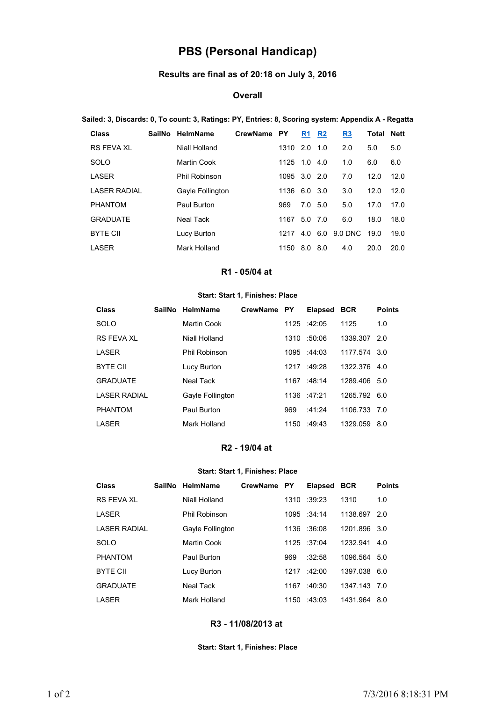# **PBS (Personal Handicap)**

# **Results are final as of 20:18 on July 3, 2016**

### **Overall**

#### **Sailed: 3, Discards: 0, To count: 3, Ratings: PY, Entries: 8, Scoring system: Appendix A - Regatta**

| Class               | SailNo | <b>HelmName</b>      | <b>CrewName</b> | <b>PY</b>    | R <sub>1</sub> | R <sub>2</sub> | R <sub>3</sub> | Total | <b>Nett</b> |
|---------------------|--------|----------------------|-----------------|--------------|----------------|----------------|----------------|-------|-------------|
| <b>RS FEVA XL</b>   |        | Niall Holland        |                 | 1310 2.0     |                | 1.0            | 2.0            | 5.0   | 5.0         |
| SOLO                |        | Martin Cook          |                 | 1125         | 1.0            | -4.0           | 1.0            | 6.0   | 6.0         |
| LASER               |        | <b>Phil Robinson</b> |                 | 1095 3.0 2.0 |                |                | 7.0            | 12.0  | 12.0        |
| <b>LASER RADIAL</b> |        | Gayle Follington     |                 | 1136         | 6.0 3.0        |                | 3.0            | 12.0  | 12.0        |
| <b>PHANTOM</b>      |        | Paul Burton          |                 | 969          | 7.0            | 5.0            | 5.0            | 17.0  | 17.0        |
| <b>GRADUATE</b>     |        | Neal Tack            |                 | 1167         | $5.0$ 7.0      |                | 6.0            | 18.0  | 18.0        |
| <b>BYTE CII</b>     |        | Lucy Burton          |                 | 1217         | 4.0            | 6.0            | 9.0 DNC        | 19.0  | 19.0        |
| I ASFR              |        | Mark Holland         |                 | 1150         | 8.0            | 8.0            | 4.0            | 20.0  | 20.0        |

# **R1 - 05/04 at**

#### **Start: Start 1, Finishes: Place**

| Class               | <b>SailNo</b> | HelmName             | <b>CrewName</b> | <b>PY</b> | <b>Elapsed</b> | <b>BCR</b>   | <b>Points</b> |
|---------------------|---------------|----------------------|-----------------|-----------|----------------|--------------|---------------|
| SOLO                |               | Martin Cook          |                 | 1125      | $-42:05$       | 1125         | 1.0           |
| RS FFVA XI          |               | Niall Holland        |                 | 1310      | :50:06         | 1339.307     | 2.0           |
| LASER               |               | <b>Phil Robinson</b> |                 |           | 1095 :44:03    | 1177.574 3.0 |               |
| <b>BYTE CII</b>     |               | Lucy Burton          |                 | 1217      | :49:28         | 1322.376 4.0 |               |
| <b>GRADUATE</b>     |               | Neal Tack            |                 |           | 1167 :48:14    | 1289.406 5.0 |               |
| <b>LASER RADIAL</b> |               | Gayle Follington     |                 |           | $1136 + 47.21$ | 1265.792 6.0 |               |
| <b>PHANTOM</b>      |               | Paul Burton          |                 | 969       | $-41.24$       | 1106.733     | 7.O           |
| <b>LASER</b>        |               | Mark Holland         |                 | 1150      | :49:43         | 1329.059     | 8.0           |

# **R2 - 19/04 at**

## **Start: Start 1, Finishes: Place**

| <b>Class</b>        | SailNo HelmName  | CrewName PY |      | <b>Elapsed</b>    | <b>BCR</b>   | <b>Points</b> |
|---------------------|------------------|-------------|------|-------------------|--------------|---------------|
| RS FFVA XI          | Niall Holland    |             | 1310 | :39:23            | 1310         | 1.0           |
| <b>LASER</b>        | Phil Robinson    |             |      | 1095 :34:14       | 1138.697     | -2.0          |
| <b>LASER RADIAL</b> | Gayle Follington |             | 1136 | :36:08            | 1201.896 3.0 |               |
| SOLO                | Martin Cook      |             |      | $1125 \div 37.04$ | 1232.941     | 4.0           |
| <b>PHANTOM</b>      | Paul Burton      |             | 969  | :32:58            | 1096.564 5.0 |               |
| <b>BYTE CII</b>     | Lucy Burton      |             | 1217 | :42:00            | 1397.038 6.0 |               |
| <b>GRADUATE</b>     | Neal Tack        |             | 1167 | :40:30            | 1347.143 7.0 |               |
| <b>LASER</b>        | Mark Holland     |             | 1150 | $-43.03$          | 1431.964 8.0 |               |

## **R3 - 11/08/2013 at**

#### **Start: Start 1, Finishes: Place**